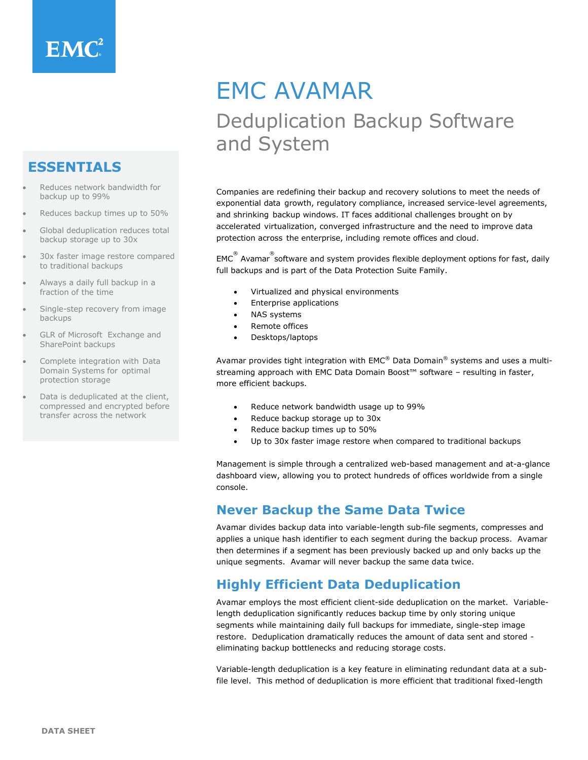# **ESSENTIALS**

- Reduces network bandwidth for backup up to 99%
- Reduces backup times up to 50%
- Global deduplication reduces total backup storage up to 30x
- 30x faster image restore compared to traditional backups
- Always a daily full backup in a fraction of the time
- Single-step recovery from image backups
- GLR of Microsoft Exchange and SharePoint backups
- Complete integration with Data Domain Systems for optimal protection storage
- Data is deduplicated at the client, compressed and encrypted before transfer across the network

# EMC AVAMAR Deduplication Backup Software and System

Companies are redefining their backup and recovery solutions to meet the needs of exponential data growth, regulatory compliance, increased service-level agreements, and shrinking backup windows. IT faces additional challenges brought on by accelerated virtualization, converged infrastructure and the need to improve data protection across the enterprise, including remote offices and cloud.

 $\mathsf{EMC}^{\stackrel{\circ}{\otimes}}$  Avamar $\stackrel{\circ}{\circ}$ software and system provides flexible deployment options for fast, daily full backups and is part of the Data Protection Suite Family.

- Virtualized and physical environments
- Enterprise applications
- NAS systems
- Remote offices
- Desktops/laptops

Avamar provides tight integration with EMC® Data Domain® systems and uses a multistreaming approach with EMC Data Domain Boost™ software – resulting in faster, more efficient backups.

- Reduce network bandwidth usage up to 99%
- Reduce backup storage up to 30x
- Reduce backup times up to 50%
- Up to 30x faster image restore when compared to traditional backups

Management is simple through a centralized web-based management and at-a-glance dashboard view, allowing you to protect hundreds of offices worldwide from a single console.

### **Never Backup the Same Data Twice**

Avamar divides backup data into variable-length sub-file segments, compresses and applies a unique hash identifier to each segment during the backup process. Avamar then determines if a segment has been previously backed up and only backs up the unique segments. Avamar will never backup the same data twice.

### **Highly Efficient Data Deduplication**

Avamar employs the most efficient client-side deduplication on the market. Variablelength deduplication significantly reduces backup time by only storing unique segments while maintaining daily full backups for immediate, single-step image restore. Deduplication dramatically reduces the amount of data sent and stored eliminating backup bottlenecks and reducing storage costs.

Variable-length deduplication is a key feature in eliminating redundant data at a subfile level. This method of deduplication is more efficient that traditional fixed-length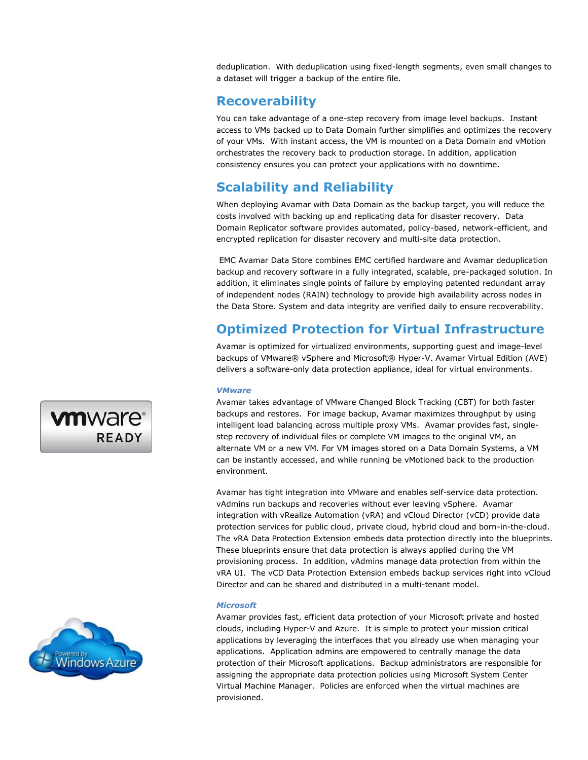deduplication. With deduplication using fixed-length segments, even small changes to a dataset will trigger a backup of the entire file.

### **Recoverability**

You can take advantage of a one-step recovery from image level backups. Instant access to VMs backed up to Data Domain further simplifies and optimizes the recovery of your VMs. With instant access, the VM is mounted on a Data Domain and vMotion orchestrates the recovery back to production storage. In addition, application consistency ensures you can protect your applications with no downtime.

### **Scalability and Reliability**

When deploying Avamar with Data Domain as the backup target, you will reduce the costs involved with backing up and replicating data for disaster recovery. Data Domain Replicator software provides automated, policy-based, network-efficient, and encrypted replication for disaster recovery and multi-site data protection.

EMC Avamar Data Store combines EMC certified hardware and Avamar deduplication backup and recovery software in a fully integrated, scalable, pre-packaged solution. In addition, it eliminates single points of failure by employing patented redundant array of independent nodes (RAIN) technology to provide high availability across nodes in the Data Store. System and data integrity are verified daily to ensure recoverability.

### **Optimized Protection for Virtual Infrastructure**

Avamar is optimized for virtualized environments, supporting guest and image-level backups of VMware® vSphere and Microsoft® Hyper-V. Avamar Virtual Edition (AVE) delivers a software-only data protection appliance, ideal for virtual environments.

#### *VMware*

Avamar takes advantage of VMware Changed Block Tracking (CBT) for both faster backups and restores. For image backup, Avamar maximizes throughput by using intelligent load balancing across multiple proxy VMs. Avamar provides fast, singlestep recovery of individual files or complete VM images to the original VM, an alternate VM or a new VM. For VM images stored on a Data Domain Systems, a VM can be instantly accessed, and while running be vMotioned back to the production environment.

Avamar has tight integration into VMware and enables self-service data protection. vAdmins run backups and recoveries without ever leaving vSphere. Avamar integration with vRealize Automation (vRA) and vCloud Director (vCD) provide data protection services for public cloud, private cloud, hybrid cloud and born-in-the-cloud. The vRA Data Protection Extension embeds data protection directly into the blueprints. These blueprints ensure that data protection is always applied during the VM provisioning process. In addition, vAdmins manage data protection from within the vRA UI. The vCD Data Protection Extension embeds backup services right into vCloud Director and can be shared and distributed in a multi-tenant model.

#### *Microsoft*

Avamar provides fast, efficient data protection of your Microsoft private and hosted clouds, including Hyper-V and Azure. It is simple to protect your mission critical applications by leveraging the interfaces that you already use when managing your applications. Application admins are empowered to centrally manage the data protection of their Microsoft applications. Backup administrators are responsible for assigning the appropriate data protection policies using Microsoft System Center Virtual Machine Manager. Policies are enforced when the virtual machines are provisioned.



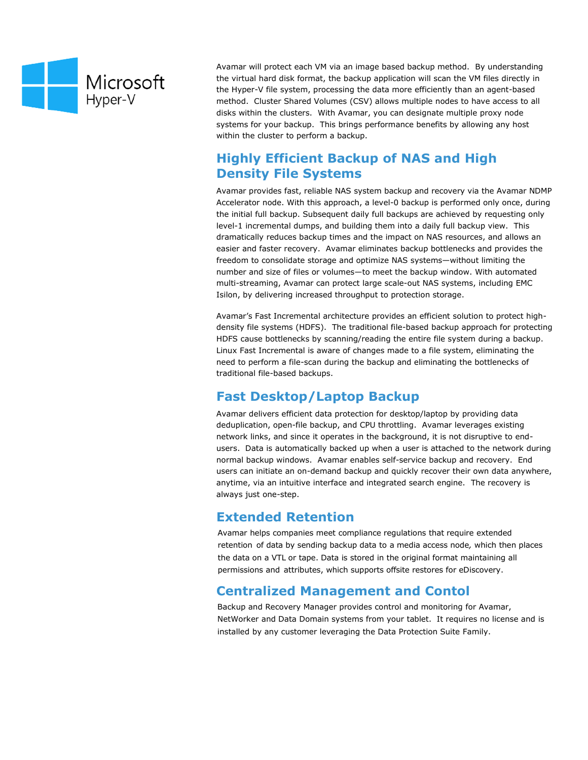

Avamar will protect each VM via an image based backup method. By understanding the virtual hard disk format, the backup application will scan the VM files directly in the Hyper-V file system, processing the data more efficiently than an agent-based method. Cluster Shared Volumes (CSV) allows multiple nodes to have access to all disks within the clusters. With Avamar, you can designate multiple proxy node systems for your backup. This brings performance benefits by allowing any host within the cluster to perform a backup.

### **Highly Efficient Backup of NAS and High Density File Systems**

Avamar provides fast, reliable NAS system backup and recovery via the Avamar NDMP Accelerator node. With this approach, a level-0 backup is performed only once, during the initial full backup. Subsequent daily full backups are achieved by requesting only level-1 incremental dumps, and building them into a daily full backup view. This dramatically reduces backup times and the impact on NAS resources, and allows an easier and faster recovery. Avamar eliminates backup bottlenecks and provides the freedom to consolidate storage and optimize NAS systems—without limiting the number and size of files or volumes—to meet the backup window. With automated multi-streaming, Avamar can protect large scale-out NAS systems, including EMC Isilon, by delivering increased throughput to protection storage.

Avamar's Fast Incremental architecture provides an efficient solution to protect highdensity file systems (HDFS). The traditional file-based backup approach for protecting HDFS cause bottlenecks by scanning/reading the entire file system during a backup. Linux Fast Incremental is aware of changes made to a file system, eliminating the need to perform a file-scan during the backup and eliminating the bottlenecks of traditional file-based backups.

### **Fast Desktop/Laptop Backup**

Avamar delivers efficient data protection for desktop/laptop by providing data deduplication, open-file backup, and CPU throttling. Avamar leverages existing network links, and since it operates in the background, it is not disruptive to endusers. Data is automatically backed up when a user is attached to the network during normal backup windows. Avamar enables self-service backup and recovery. End users can initiate an on-demand backup and quickly recover their own data anywhere, anytime, via an intuitive interface and integrated search engine. The recovery is always just one-step.

### **Extended Retention**

Avamar helps companies meet compliance regulations that require extended retention of data by sending backup data to a media access node*,* which then places the data on a VTL or tape. Data is stored in the original format maintaining all permissions and attributes, which supports offsite restores for eDiscovery.

## **Centralized Management and Contol**

Backup and Recovery Manager provides control and monitoring for Avamar, NetWorker and Data Domain systems from your tablet. It requires no license and is installed by any customer leveraging the Data Protection Suite Family.